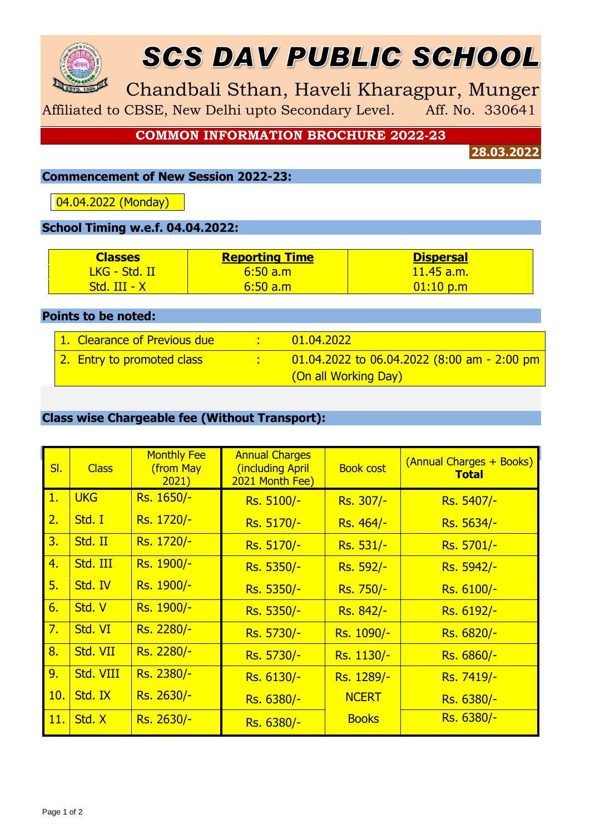

# SCS DAV PUBLIC SCHOOL

Chandbali Sthan, Haveli Kharagpur, Munger

Affiliated to CBSE, New Delhi upto Secondary Level. Aff. No. 330641

**COMMON INFORMATION BROCHURE 2022-23**

**28.03.2022**

#### **Commencement of New Session 2022-23:**

04.04.2022 (Monday)

### **School Timing w.e.f. 04.04.2022:**

| <b>Classes</b>           | <b>Reporting Time</b> | <b>Dispersal</b> |
|--------------------------|-----------------------|------------------|
| <u> IKG - Std. II - </u> | 6:50a.m               | $11.45$ a.m.     |
| <u> Std. III - X I</u>   | <u>/6:50 a.m</u>      | 01:10 p.m        |

#### **Points to be noted:**

| 1. Clearance of Previous due | 01.04.2022                                     |
|------------------------------|------------------------------------------------|
| 2. Entry to promoted class   | $-01.04.2022$ to 06.04.2022 (8:00 am - 2:00 pm |
|                              | (On all Working Day)                           |

#### **Class wise Chargeable fee (Without Transport):**

| SI. | <b>Class</b> | <b>Monthly Fee</b><br>(from May<br>2021) | <b>Annual Charges</b><br>(including April<br>2021 Month Fee) | <b>Book cost</b> | (Annual Charges + Books)<br><b>Total</b> |
|-----|--------------|------------------------------------------|--------------------------------------------------------------|------------------|------------------------------------------|
| 1.  | <b>UKG</b>   | Rs. 1650/-                               | Rs. 5100/-                                                   | Rs. 307/-        | Rs. 5407/-                               |
| 2.  | Std. I       | Rs. 1720/-                               | Rs. 5170/-                                                   | Rs. 464/-        | Rs. 5634/-                               |
| 3.  | Std. II      | Rs. 1720/-                               | Rs. 5170/-                                                   | Rs. 531/-        | Rs. 5701/-                               |
| 4.  | Std. III     | Rs. 1900/-                               | Rs. 5350/-                                                   | Rs. 592/-        | Rs. 5942/-                               |
| 5.  | Std. IV      | Rs. 1900/-                               | Rs. 5350/-                                                   | Rs. 750/-        | Rs. 6100/-                               |
| 6.  | Std. V       | Rs. 1900/-                               | Rs. 5350/-                                                   | Rs. 842/-        | Rs. 6192/-                               |
| 7.  | Std. VI      | Rs. 2280/-                               | Rs. 5730/-                                                   | Rs. 1090/-       | Rs. 6820/-                               |
| 8.  | Std. VII     | Rs. 2280/-                               | Rs. 5730/-                                                   | Rs. 1130/-       | Rs. 6860/-                               |
| 9.  | Std. VIII    | Rs. 2380/-                               | Rs. 6130/-                                                   | Rs. 1289/-       | Rs. 7419/-                               |
| 10. | Std. IX      | Rs. 2630/-                               | Rs. 6380/-                                                   | <b>NCERT</b>     | Rs. 6380/-                               |
| 11. | Std. X       | Rs. 2630/-                               | Rs. 6380/-                                                   | <b>Books</b>     | Rs. 6380/-                               |